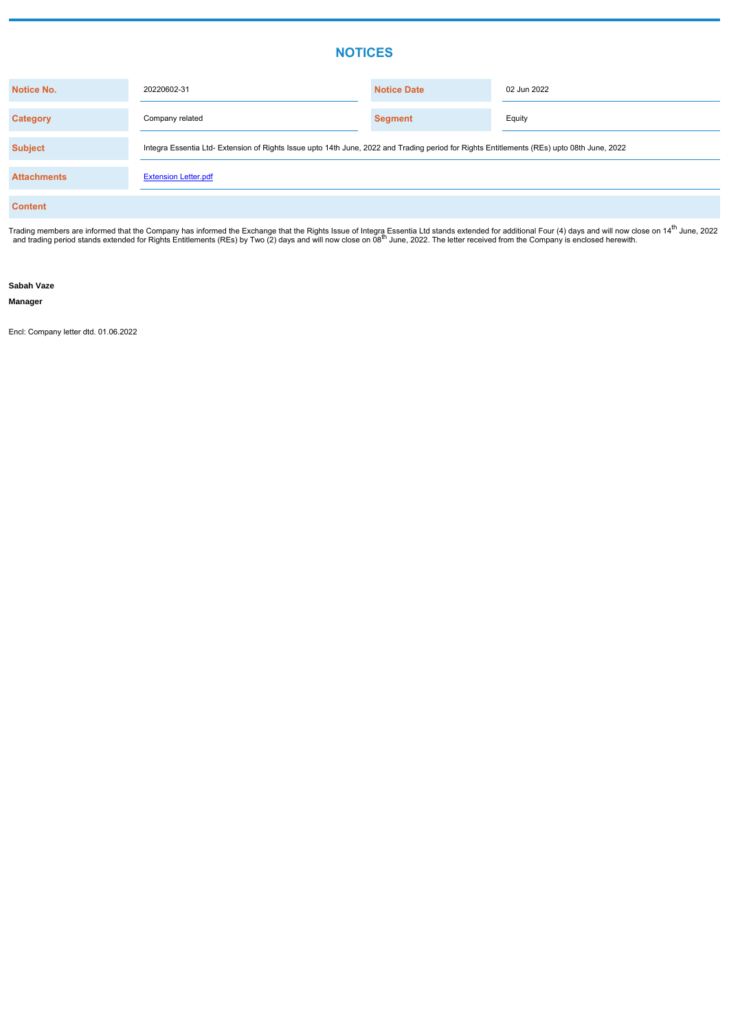## **NOTICES**

| <b>Notice No.</b>  | 20220602-31                                                                                                                                | <b>Notice Date</b> | 02 Jun 2022 |  |  |  |  |
|--------------------|--------------------------------------------------------------------------------------------------------------------------------------------|--------------------|-------------|--|--|--|--|
| <b>Category</b>    | Company related                                                                                                                            | <b>Segment</b>     | Equity      |  |  |  |  |
| <b>Subject</b>     | Integra Essentia Ltd- Extension of Rights Issue upto 14th June, 2022 and Trading period for Rights Entitlements (REs) upto 08th June, 2022 |                    |             |  |  |  |  |
| <b>Attachments</b> | <b>Extension Letter.pdf</b>                                                                                                                |                    |             |  |  |  |  |
| <b>Content</b>     |                                                                                                                                            |                    |             |  |  |  |  |

Trading members are informed that the Company has informed the Exchange that the Rights Issue of Integra Essentia Ltd stands extended for additional Four (4) days and will now close on 14<sup>th</sup> June, 2022 and trading period stands extended for Rights Entitlements (REs) by Two (2) days and will now close on 08<sup>th</sup> June, 2022. The letter received from the Company is enclosed herewith.

**Sabah Vaze**

**Manager**

Encl: Company letter dtd. 01.06.2022